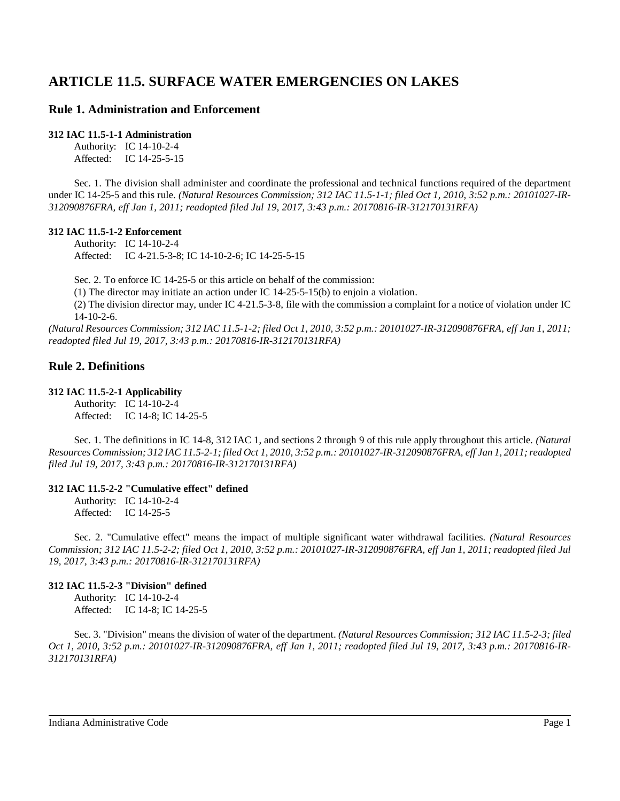# **ARTICLE 11.5. SURFACE WATER EMERGENCIES ON LAKES**

# **Rule 1. Administration and Enforcement**

### **312 IAC 11.5-1-1 Administration**

Authority: IC 14-10-2-4 Affected: IC 14-25-5-15

Sec. 1. The division shall administer and coordinate the professional and technical functions required of the department under IC 14-25-5 and this rule. *(Natural Resources Commission; 312 IAC 11.5-1-1; filed Oct 1, 2010, 3:52 p.m.: 20101027-IR-312090876FRA, eff Jan 1, 2011; readopted filed Jul 19, 2017, 3:43 p.m.: 20170816-IR-312170131RFA)*

### **312 IAC 11.5-1-2 Enforcement**

Authority: IC 14-10-2-4 Affected: IC 4-21.5-3-8; IC 14-10-2-6; IC 14-25-5-15

Sec. 2. To enforce IC 14-25-5 or this article on behalf of the commission:

(1) The director may initiate an action under IC 14-25-5-15(b) to enjoin a violation.

(2) The division director may, under IC 4-21.5-3-8, file with the commission a complaint for a notice of violation under IC 14-10-2-6.

(Natural Resources Commission; 312 IAC 11.5-1-2; filed Oct 1, 2010, 3:52 p.m.: 20101027-IR-312090876FRA, eff Jan 1, 2011; *readopted filed Jul 19, 2017, 3:43 p.m.: 20170816-IR-312170131RFA)*

# **Rule 2. Definitions**

## **312 IAC 11.5-2-1 Applicability**

Authority: IC 14-10-2-4 Affected: IC 14-8; IC 14-25-5

Sec. 1. The definitions in IC 14-8, 312 IAC 1, and sections 2 through 9 of this rule apply throughout this article. *(Natural* Resources Commission; 312 IAC 11.5-2-1; filed Oct 1, 2010, 3:52 p.m.: 20101027-IR-312090876FRA, eff Jan 1, 2011; readopted *filed Jul 19, 2017, 3:43 p.m.: 20170816-IR-312170131RFA)*

# **312 IAC 11.5-2-2 "Cumulative effect" defined**

Authority: IC 14-10-2-4 Affected: IC 14-25-5

Sec. 2. "Cumulative effect" means the impact of multiple significant water withdrawal facilities. *(Natural Resources* Commission; 312 IAC 11.5-2-2; filed Oct 1, 2010, 3:52 p.m.: 20101027-IR-312090876FRA, eff Jan 1, 2011; readopted filed Jul *19, 2017, 3:43 p.m.: 20170816-IR-312170131RFA)*

## **312 IAC 11.5-2-3 "Division" defined**

Authority: IC 14-10-2-4 Affected: IC 14-8; IC 14-25-5

Sec. 3. "Division" means the division of water of the department. *(Natural Resources Commission; 312 IAC 11.5-2-3; filed* Oct 1, 2010, 3:52 p.m.: 20101027-IR-312090876FRA, eff Jan 1, 2011; readopted filed Jul 19, 2017, 3:43 p.m.: 20170816-IR-*312170131RFA)*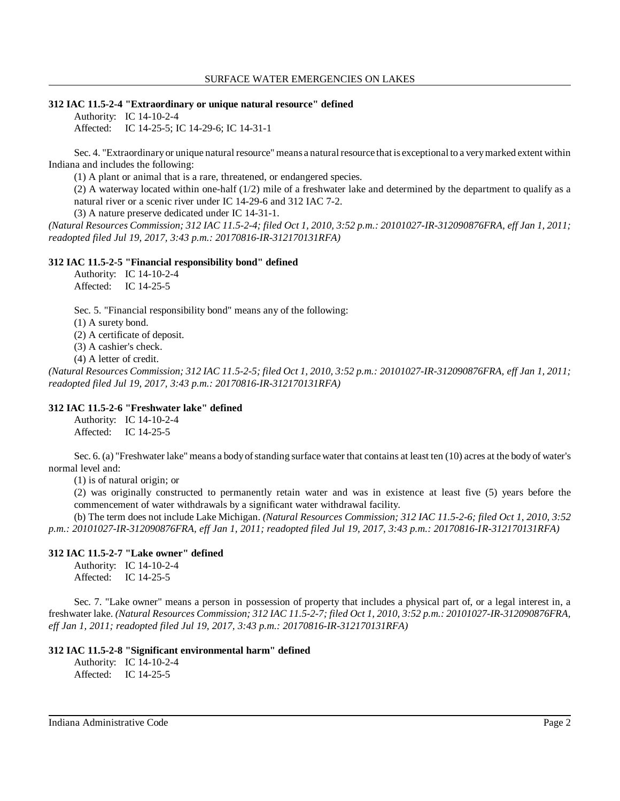#### **312 IAC 11.5-2-4 "Extraordinary or unique natural resource" defined**

Authority: IC 14-10-2-4 Affected: IC 14-25-5; IC 14-29-6; IC 14-31-1

Sec. 4. "Extraordinary or unique natural resource" means a natural resource that is exceptional to a very marked extent within Indiana and includes the following:

(1) A plant or animal that is a rare, threatened, or endangered species.

(2) A waterway located within one-half (1/2) mile of a freshwater lake and determined by the department to qualify as a natural river or a scenic river under IC 14-29-6 and 312 IAC 7-2.

(3) A nature preserve dedicated under IC 14-31-1.

(Natural Resources Commission; 312 IAC 11.5-2-4; filed Oct 1, 2010, 3:52 p.m.: 20101027-IR-312090876FRA, eff Jan 1, 2011; *readopted filed Jul 19, 2017, 3:43 p.m.: 20170816-IR-312170131RFA)*

#### **312 IAC 11.5-2-5 "Financial responsibility bond" defined**

Authority: IC 14-10-2-4 Affected: IC 14-25-5

Sec. 5. "Financial responsibility bond" means any of the following:

(1) A surety bond.

(2) A certificate of deposit.

(3) A cashier's check.

(4) A letter of credit.

(Natural Resources Commission; 312 IAC 11.5-2-5; filed Oct 1, 2010, 3:52 p.m.: 20101027-IR-312090876FRA, eff Jan 1, 2011; *readopted filed Jul 19, 2017, 3:43 p.m.: 20170816-IR-312170131RFA)*

## **312 IAC 11.5-2-6 "Freshwater lake" defined**

Authority: IC 14-10-2-4 Affected: IC 14-25-5

Sec. 6. (a) "Freshwater lake" means a body of standing surface water that contains at least ten (10) acres at the body of water's normal level and:

(1) is of natural origin; or

(2) was originally constructed to permanently retain water and was in existence at least five (5) years before the commencement of water withdrawals by a significant water withdrawal facility.

(b) The term does not include Lake Michigan. *(Natural Resources Commission; 312 IAC 11.5-2-6; filed Oct 1, 2010, 3:52 p.m.: 20101027-IR-312090876FRA, eff Jan 1, 2011; readopted filed Jul 19, 2017, 3:43 p.m.: 20170816-IR-312170131RFA)*

#### **312 IAC 11.5-2-7 "Lake owner" defined**

Authority: IC 14-10-2-4 Affected: IC 14-25-5

Sec. 7. "Lake owner" means a person in possession of property that includes a physical part of, or a legal interest in, a freshwater lake. *(Natural Resources Commission; 312 IAC 11.5-2-7; filed Oct 1, 2010, 3:52 p.m.: 20101027-IR-312090876FRA, eff Jan 1, 2011; readopted filed Jul 19, 2017, 3:43 p.m.: 20170816-IR-312170131RFA)*

#### **312 IAC 11.5-2-8 "Significant environmental harm" defined**

Authority: IC 14-10-2-4 Affected: IC 14-25-5